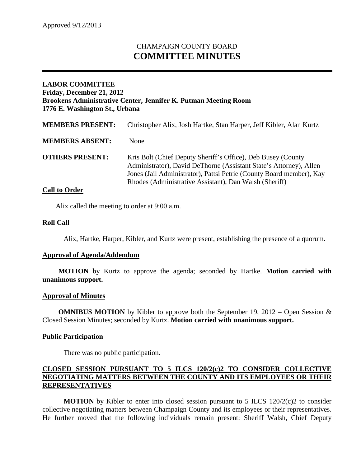# CHAMPAIGN COUNTY BOARD **COMMITTEE MINUTES**

# **LABOR COMMITTEE Friday, December 21, 2012 Brookens Administrative Center, Jennifer K. Putman Meeting Room 1776 E. Washington St., Urbana**

| <b>MEMBERS PRESENT:</b> | Christopher Alix, Josh Hartke, Stan Harper, Jeff Kibler, Alan Kurtz                                                                                                                                                                                                  |
|-------------------------|----------------------------------------------------------------------------------------------------------------------------------------------------------------------------------------------------------------------------------------------------------------------|
| <b>MEMBERS ABSENT:</b>  | <b>None</b>                                                                                                                                                                                                                                                          |
| <b>OTHERS PRESENT:</b>  | Kris Bolt (Chief Deputy Sheriff's Office), Deb Busey (County<br>Administrator), David DeThorne (Assistant State's Attorney), Allen<br>Jones (Jail Administrator), Pattsi Petrie (County Board member), Kay<br>Rhodes (Administrative Assistant), Dan Walsh (Sheriff) |

## **Call to Order**

Alix called the meeting to order at 9:00 a.m.

## **Roll Call**

Alix, Hartke, Harper, Kibler, and Kurtz were present, establishing the presence of a quorum.

#### **Approval of Agenda/Addendum**

**MOTION** by Kurtz to approve the agenda; seconded by Hartke. **Motion carried with unanimous support.**

#### **Approval of Minutes**

**OMNIBUS MOTION** by Kibler to approve both the September 19, 2012 – Open Session & Closed Session Minutes; seconded by Kurtz. **Motion carried with unanimous support.**

#### **Public Participation**

There was no public participation.

#### **CLOSED SESSION PURSUANT TO 5 ILCS 120/2(c)2 TO CONSIDER COLLECTIVE NEGOTIATING MATTERS BETWEEN THE COUNTY AND ITS EMPLOYEES OR THEIR REPRESENTATIVES**

**MOTION** by Kibler to enter into closed session pursuant to 5 ILCS  $120/2(c)$  to consider collective negotiating matters between Champaign County and its employees or their representatives. He further moved that the following individuals remain present: Sheriff Walsh, Chief Deputy